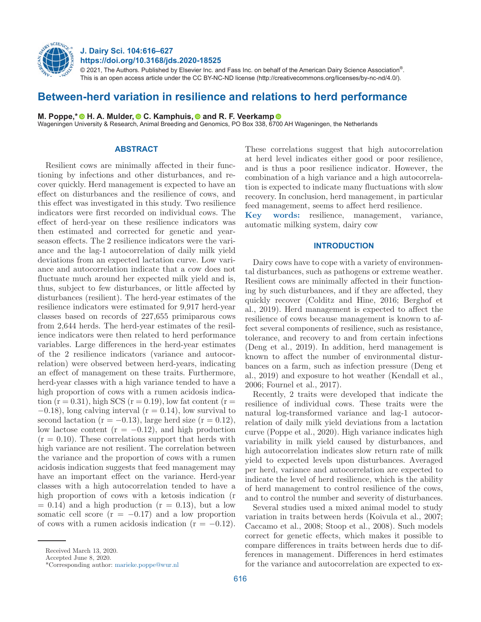

# **J. Dairy Sci. 104:616–627 https://doi.org/10.3168/jds.2020-18525**

 $@$  2021, The Authors. Published by Elsevier Inc. and Fass Inc. on behalf of the American Dairy Science Association $^{\circ}$ . This is an open access article under the CC BY-NC-ND license (http://creativecommons.org/licenses/by-nc-nd/4.0/).

# **Between-herd variation in resilience and relations to herd performance**

**M. Poppe,\* H**. A. Mulder[,](https://orcid.org/0000-0001-5552-036X) **C.** Kamphuis, **C** and R. F. Veerkamp **C** 

Wageningen University & Research, Animal Breeding and Genomics, PO Box 338, 6[700](https://orcid.org/0000-0002-5240-6534) AH Wageningen, the Netherlands

## **ABSTRACT**

Resilient cows are minimally affected in their functioning by infections and other disturbances, and recover quickly. Herd management is expected to have an effect on disturbances and the resilience of cows, and this effect was investigated in this study. Two resilience indicators were first recorded on individual cows. The effect of herd-year on these resilience indicators was then estimated and corrected for genetic and yearseason effects. The 2 resilience indicators were the variance and the lag-1 autocorrelation of daily milk yield deviations from an expected lactation curve. Low variance and autocorrelation indicate that a cow does not fluctuate much around her expected milk yield and is, thus, subject to few disturbances, or little affected by disturbances (resilient). The herd-year estimates of the resilience indicators were estimated for 9,917 herd-year classes based on records of 227,655 primiparous cows from 2,644 herds. The herd-year estimates of the resilience indicators were then related to herd performance variables. Large differences in the herd-year estimates of the 2 resilience indicators (variance and autocorrelation) were observed between herd-years, indicating an effect of management on these traits. Furthermore, herd-year classes with a high variance tended to have a high proportion of cows with a rumen acidosis indication  $(r = 0.31)$ , high SCS  $(r = 0.19)$ , low fat content  $(r = 1.31)$  $-0.18$ ), long calving interval ( $r = 0.14$ ), low survival to second lactation ( $r = -0.13$ ), large herd size ( $r = 0.12$ ), low lactose content ( $r = -0.12$ ), and high production  $(r = 0.10)$ . These correlations support that herds with high variance are not resilient. The correlation between the variance and the proportion of cows with a rumen acidosis indication suggests that feed management may have an important effect on the variance. Herd-year classes with a high autocorrelation tended to have a high proportion of cows with a ketosis indication (r  $= 0.14$ ) and a high production ( $r = 0.13$ ), but a low somatic cell score  $(r = -0.17)$  and a low proportion of cows with a rumen acidosis indication  $(r = -0.12)$ .

combination of a high variance and a high autocorrelation is expected to indicate many fluctuations with slow recovery. In conclusion, herd management, in particular feed management, seems to affect herd resilience. **Key words:** resilience, management, variance, automatic milking system, dairy cow **INTRODUCTION**

These correlations suggest that high autocorrelation at herd level indicates either good or poor resilience, and is thus a poor resilience indicator. However, the

# Dairy cows have to cope with a variety of environmental disturbances, such as pathogens or extreme weather. Resilient cows are minimally affected in their functioning by such disturbances, and if they are affected, they quickly recover (Colditz and Hine, 2016; Berghof et al., 2019). Herd management is expected to affect the resilience of cows because management is known to affect several components of resilience, such as resistance, tolerance, and recovery to and from certain infections (Deng et al., 2019). In addition, herd management is known to affect the number of environmental disturbances on a farm, such as infection pressure (Deng et al., 2019) and exposure to hot weather (Kendall et al., 2006; Fournel et al., 2017).

Recently, 2 traits were developed that indicate the resilience of individual cows. These traits were the natural log-transformed variance and lag-1 autocorrelation of daily milk yield deviations from a lactation curve (Poppe et al., 2020). High variance indicates high variability in milk yield caused by disturbances, and high autocorrelation indicates slow return rate of milk yield to expected levels upon disturbances. Averaged per herd, variance and autocorrelation are expected to indicate the level of herd resilience, which is the ability of herd management to control resilience of the cows, and to control the number and severity of disturbances.

Several studies used a mixed animal model to study variation in traits between herds (Koivula et al., 2007; Caccamo et al., 2008; Stoop et al., 2008). Such models correct for genetic effects, which makes it possible to compare differences in traits between herds due to differences in management. Differences in herd estimates for the variance and autocorrelation are expected to ex-

Received March 13, 2020.

Accepted June 8, 2020.

<sup>\*</sup>Corresponding author: [marieke.poppe@wur.nl](mailto:marieke.poppe@wur.nl)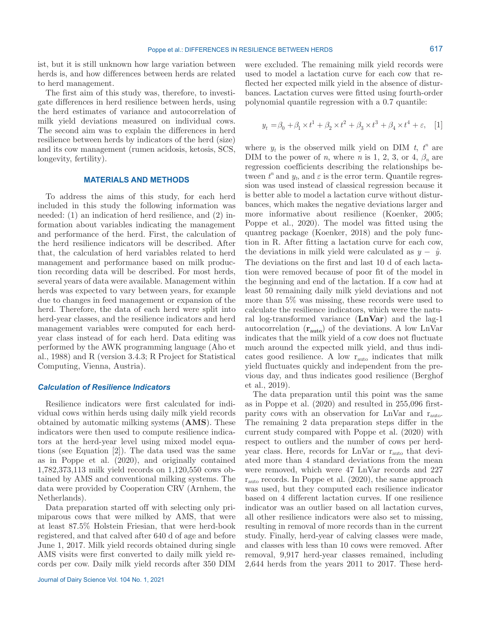ist, but it is still unknown how large variation between herds is, and how differences between herds are related to herd management.

The first aim of this study was, therefore, to investigate differences in herd resilience between herds, using the herd estimates of variance and autocorrelation of milk yield deviations measured on individual cows. The second aim was to explain the differences in herd resilience between herds by indicators of the herd (size) and its cow management (rumen acidosis, ketosis, SCS, longevity, fertility).

### **MATERIALS AND METHODS**

To address the aims of this study, for each herd included in this study the following information was needed: (1) an indication of herd resilience, and (2) information about variables indicating the management and performance of the herd. First, the calculation of the herd resilience indicators will be described. After that, the calculation of herd variables related to herd management and performance based on milk production recording data will be described. For most herds, several years of data were available. Management within herds was expected to vary between years, for example due to changes in feed management or expansion of the herd. Therefore, the data of each herd were split into herd-year classes, and the resilience indicators and herd management variables were computed for each herdyear class instead of for each herd. Data editing was performed by the AWK programming language (Aho et al., 1988) and R (version 3.4.3; R Project for Statistical Computing, Vienna, Austria).

## *Calculation of Resilience Indicators*

Resilience indicators were first calculated for individual cows within herds using daily milk yield records obtained by automatic milking systems (**AMS**). These indicators were then used to compute resilience indicators at the herd-year level using mixed model equations (see Equation [2]). The data used was the same as in Poppe et al. (2020), and originally contained 1,782,373,113 milk yield records on 1,120,550 cows obtained by AMS and conventional milking systems. The data were provided by Cooperation CRV (Arnhem, the Netherlands).

Data preparation started off with selecting only primiparous cows that were milked by AMS, that were at least 87.5% Holstein Friesian, that were herd-book registered, and that calved after 640 d of age and before June 1, 2017. Milk yield records obtained during single AMS visits were first converted to daily milk yield records per cow. Daily milk yield records after 350 DIM were excluded. The remaining milk yield records were used to model a lactation curve for each cow that reflected her expected milk yield in the absence of disturbances. Lactation curves were fitted using fourth-order polynomial quantile regression with a 0.7 quantile:

$$
y_t = \beta_0 + \beta_1 \times t^1 + \beta_2 \times t^2 + \beta_3 \times t^3 + \beta_4 \times t^4 + \varepsilon, \quad [1]
$$

where  $y_t$  is the observed milk yield on DIM  $t$ ,  $t^n$  are DIM to the power of *n*, where *n* is 1, 2, 3, or 4,  $\beta_n$  are regression coefficients describing the relationships between  $t^n$  and  $y_t$ , and  $\varepsilon$  is the error term. Quantile regression was used instead of classical regression because it is better able to model a lactation curve without disturbances, which makes the negative deviations larger and more informative about resilience (Koenker, 2005; Poppe et al., 2020). The model was fitted using the quantreg package (Koenker, 2018) and the poly function in R. After fitting a lactation curve for each cow, the deviations in milk yield were calculated as  $y - \hat{y}$ . The deviations on the first and last 10 d of each lactation were removed because of poor fit of the model in the beginning and end of the lactation. If a cow had at least 50 remaining daily milk yield deviations and not more than 5% was missing, these records were used to calculate the resilience indicators, which were the natural log-transformed variance (**LnVar**) and the lag-1 autocorrelation (**rauto**) of the deviations. A low LnVar indicates that the milk yield of a cow does not fluctuate much around the expected milk yield, and thus indicates good resilience. A low rauto indicates that milk yield fluctuates quickly and independent from the previous day, and thus indicates good resilience (Berghof et al., 2019).

The data preparation until this point was the same as in Poppe et al. (2020) and resulted in 255,096 firstparity cows with an observation for  $LnVar$  and  $r_{auto}$ . The remaining 2 data preparation steps differ in the current study compared with Poppe et al. (2020) with respect to outliers and the number of cows per herdyear class. Here, records for LnVar or r<sub>auto</sub> that deviated more than 4 standard deviations from the mean were removed, which were 47 LnVar records and 227  $r_{\text{auto}}$  records. In Poppe et al.  $(2020)$ , the same approach was used, but they computed each resilience indicator based on 4 different lactation curves. If one resilience indicator was an outlier based on all lactation curves, all other resilience indicators were also set to missing, resulting in removal of more records than in the current study. Finally, herd-year of calving classes were made, and classes with less than 10 cows were removed. After removal, 9,917 herd-year classes remained, including 2,644 herds from the years 2011 to 2017. These herd-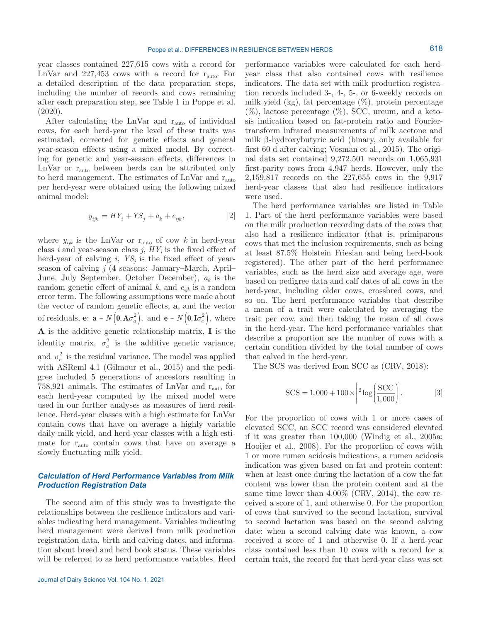year classes contained 227,615 cows with a record for LnVar and  $227,453$  cows with a record for  $r_{\text{auto}}$ . For a detailed description of the data preparation steps, including the number of records and cows remaining after each preparation step, see Table 1 in Poppe et al. (2020).

After calculating the LnVar and rauto of individual cows, for each herd-year the level of these traits was estimated, corrected for genetic effects and general year-season effects using a mixed model. By correcting for genetic and year-season effects, differences in LnVar or rauto between herds can be attributed only to herd management. The estimates of LnVar and r<sub>auto</sub> per herd-year were obtained using the following mixed animal model:

$$
y_{ijk} = HY_i + YS_j + a_k + e_{ijk}, \qquad [2]
$$

where  $y_{ijk}$  is the LnVar or  $r_{\text{auto}}$  of cow *k* in herd-year class  $i$  and year-season class  $j$ ,  $HY<sub>i</sub>$  is the fixed effect of herd-year of calving  $i$ ,  $YS<sub>j</sub>$  is the fixed effect of yearseason of calving *j* (4 seasons: January–March, April– June, July–September, October–December), *ak* is the random genetic effect of animal *k*, and *eijk* is a random error term. The following assumptions were made about the vector of random genetic effects, **a**, and the vector of residuals, **e**:  $\mathbf{a} \sim N\left(\mathbf{0}, \mathbf{A}\sigma_a^2\right)$ , and  $\mathbf{e} \sim N\left(\mathbf{0}, \mathbf{I}\sigma_e^2\right)$ , where **A** is the additive genetic relationship matrix, **I** is the identity matrix,  $\sigma_a^2$  is the additive genetic variance, and  $\sigma_e^2$  is the residual variance. The model was applied with ASReml 4.1 (Gilmour et al., 2015) and the pedigree included 5 generations of ancestors resulting in 758,921 animals. The estimates of LnVar and  $r_{\text{auto}}$  for each herd-year computed by the mixed model were used in our further analyses as measures of herd resilience. Herd-year classes with a high estimate for LnVar contain cows that have on average a highly variable daily milk yield, and herd-year classes with a high estimate for  $r_{\text{auto}}$  contain cows that have on average a slowly fluctuating milk yield.

# *Calculation of Herd Performance Variables from Milk Production Registration Data*

The second aim of this study was to investigate the relationships between the resilience indicators and variables indicating herd management. Variables indicating herd management were derived from milk production registration data, birth and calving dates, and information about breed and herd book status. These variables will be referred to as herd performance variables. Herd

performance variables were calculated for each herdyear class that also contained cows with resilience indicators. The data set with milk production registration records included 3-, 4-, 5-, or 6-weekly records on milk yield  $(kg)$ , fat percentage  $(\%)$ , protein percentage  $(\%)$ , lactose percentage  $(\%)$ , SCC, ureum, and a ketosis indication based on fat-protein ratio and Fouriertransform infrared measurements of milk acetone and milk β-hydroxybutyric acid (binary, only available for first 60 d after calving; Vosman et al., 2015). The original data set contained 9,272,501 records on 1,065,931 first-parity cows from 4,947 herds. However, only the 2,159,817 records on the 227,655 cows in the 9,917 herd-year classes that also had resilience indicators were used.

The herd performance variables are listed in Table 1. Part of the herd performance variables were based on the milk production recording data of the cows that also had a resilience indicator (that is, primiparous cows that met the inclusion requirements, such as being at least 87.5% Holstein Friesian and being herd-book registered). The other part of the herd performance variables, such as the herd size and average age, were based on pedigree data and calf dates of all cows in the herd-year, including older cows, crossbred cows, and so on. The herd performance variables that describe a mean of a trait were calculated by averaging the trait per cow, and then taking the mean of all cows in the herd-year. The herd performance variables that describe a proportion are the number of cows with a certain condition divided by the total number of cows that calved in the herd-year.

The SCS was derived from SCC as (CRV, 2018):

$$
SCS = 1,000 + 100 \times \left[2 \log \left(\frac{SCC}{1,000}\right)\right].
$$
 [3]

For the proportion of cows with 1 or more cases of elevated SCC, an SCC record was considered elevated if it was greater than 100,000 (Windig et al., 2005a; Hooijer et al., 2008). For the proportion of cows with 1 or more rumen acidosis indications, a rumen acidosis indication was given based on fat and protein content: when at least once during the lactation of a cow the fat content was lower than the protein content and at the same time lower than 4.00% (CRV, 2014), the cow received a score of 1, and otherwise 0. For the proportion of cows that survived to the second lactation, survival to second lactation was based on the second calving date: when a second calving date was known, a cow received a score of 1 and otherwise 0. If a herd-year class contained less than 10 cows with a record for a certain trait, the record for that herd-year class was set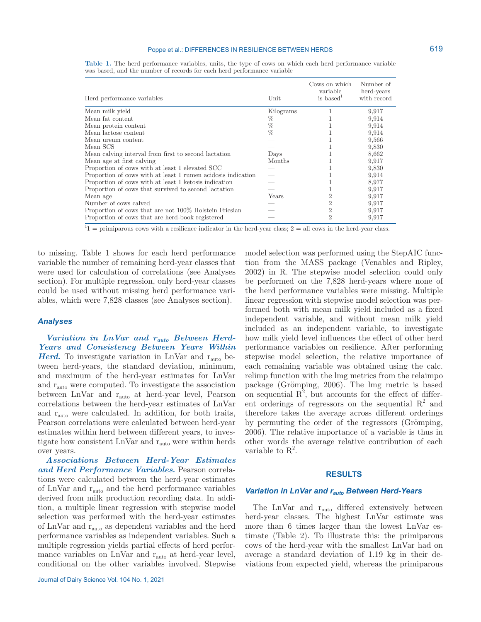### Poppe et al.: DIFFERENCES IN RESILIENCE BETWEEN HERDS

|  | Table 1. The herd performance variables, units, the type of cows on which each herd performance variable |  |  |  |  |  |
|--|----------------------------------------------------------------------------------------------------------|--|--|--|--|--|
|  | was based, and the number of records for each herd performance variable                                  |  |  |  |  |  |

| Herd performance variables                                   | Unit      | Cows on which<br>variable<br>is based <sup><math>\perp</math></sup> | Number of<br>herd-years<br>with record |
|--------------------------------------------------------------|-----------|---------------------------------------------------------------------|----------------------------------------|
| Mean milk yield                                              | Kilograms |                                                                     | 9,917                                  |
| Mean fat content                                             | %         |                                                                     | 9,914                                  |
| Mean protein content                                         | %         |                                                                     | 9,914                                  |
| Mean lactose content                                         | %         |                                                                     | 9,914                                  |
| Mean ureum content                                           |           |                                                                     | 9,566                                  |
| Mean SCS                                                     |           |                                                                     | 9,830                                  |
| Mean calving interval from first to second lactation         | Days      |                                                                     | 8,662                                  |
| Mean age at first calving                                    | Months    |                                                                     | 9,917                                  |
| Proportion of cows with at least 1 elevated SCC              |           |                                                                     | 9,830                                  |
| Proportion of cows with at least 1 rumen acidosis indication |           |                                                                     | 9,914                                  |
| Proportion of cows with at least 1 ketosis indication        |           |                                                                     | 8,977                                  |
| Proportion of cows that survived to second lactation         |           |                                                                     | 9,917                                  |
| Mean age                                                     | Years     |                                                                     | 9,917                                  |
| Number of cows calved                                        |           | 2                                                                   | 9,917                                  |
| Proportion of cows that are not 100% Holstein Friesian       |           | 2                                                                   | 9,917                                  |
| Proportion of cows that are herd-book registered             |           | 2                                                                   | 9,917                                  |

 $1<sup>1</sup>$  = primiparous cows with a resilience indicator in the herd-year class; 2 = all cows in the herd-year class.

to missing. Table 1 shows for each herd performance variable the number of remaining herd-year classes that were used for calculation of correlations (see Analyses section). For multiple regression, only herd-year classes could be used without missing herd performance variables, which were 7,828 classes (see Analyses section).

## *Analyses*

*Variation in LnVar and rauto Between Herd-Years and Consistency Between Years Within Herd.* To investigate variation in LnVar and r<sub>auto</sub> between herd-years, the standard deviation, minimum, and maximum of the herd-year estimates for LnVar and  $\rm r_{auto}$  were computed. To investigate the association between LnVar and rauto at herd-year level, Pearson correlations between the herd-year estimates of LnVar and rauto were calculated. In addition, for both traits, Pearson correlations were calculated between herd-year estimates within herd between different years, to investigate how consistent  $LnVar$  and  $r_{auto}$  were within herds over years.

*Associations Between Herd-Year Estimates and Herd Performance Variables.* Pearson correlations were calculated between the herd-year estimates of LnVar and rauto and the herd performance variables derived from milk production recording data. In addition, a multiple linear regression with stepwise model selection was performed with the herd-year estimates of LnVar and rauto as dependent variables and the herd performance variables as independent variables. Such a multiple regression yields partial effects of herd performance variables on LnVar and  $r_{\text{auto}}$  at herd-year level, conditional on the other variables involved. Stepwise model selection was performed using the StepAIC function from the MASS package (Venables and Ripley, 2002) in R. The stepwise model selection could only be performed on the 7,828 herd-years where none of the herd performance variables were missing. Multiple linear regression with stepwise model selection was performed both with mean milk yield included as a fixed independent variable, and without mean milk yield included as an independent variable, to investigate how milk yield level influences the effect of other herd performance variables on resilience. After performing stepwise model selection, the relative importance of each remaining variable was obtained using the calc. relimp function with the lmg metrics from the relaimpo package (Grömping, 2006). The lmg metric is based on sequential  $\mathbb{R}^2$ , but accounts for the effect of different orderings of regressors on the sequential  $\mathbb{R}^2$  and therefore takes the average across different orderings by permuting the order of the regressors (Grömping, 2006). The relative importance of a variable is thus in other words the average relative contribution of each variable to  $\mathbb{R}^2$ .

### **RESULTS**

# *Variation in LnVar and rauto Between Herd-Years*

The LnVar and r<sub>auto</sub> differed extensively between herd-year classes. The highest LnVar estimate was more than 6 times larger than the lowest LnVar estimate (Table 2). To illustrate this: the primiparous cows of the herd-year with the smallest LnVar had on average a standard deviation of 1.19 kg in their deviations from expected yield, whereas the primiparous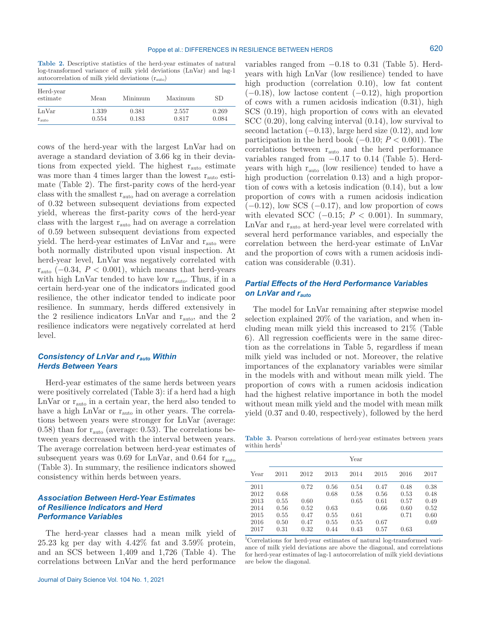**Table 2.** Descriptive statistics of the herd-year estimates of natural log-transformed variance of milk yield deviations (LnVar) and lag-1 autocorrelation of milk yield deviations  $(r_{\text{auto}})$ 

| Herd-year<br>estimate | Mean  | Minimum | Maximum | SD.   |
|-----------------------|-------|---------|---------|-------|
| LnVar                 | 1.339 | 0.381   | 2.557   | 0.269 |
| $r_{\text{auto}}$     | 0.554 | 0.183   | 0.817   | 0.084 |

cows of the herd-year with the largest LnVar had on average a standard deviation of 3.66 kg in their deviations from expected yield. The highest  $r_{\text{auto}}$  estimate was more than 4 times larger than the lowest  $r_{\text{auto}}$  estimate (Table 2). The first-parity cows of the herd-year class with the smallest  $r_{\text{auto}}$  had on average a correlation of 0.32 between subsequent deviations from expected yield, whereas the first-parity cows of the herd-year class with the largest  $r_{\text{auto}}$  had on average a correlation of 0.59 between subsequent deviations from expected yield. The herd-year estimates of LnVar and rauto were both normally distributed upon visual inspection. At herd-year level, LnVar was negatively correlated with  $r_{\text{auto}}$  (−0.34, *P* < 0.001), which means that herd-years with high LnVar tended to have low  $r_{\text{auto}}$ . Thus, if in a certain herd-year one of the indicators indicated good resilience, the other indicator tended to indicate poor resilience. In summary, herds differed extensively in the 2 resilience indicators LnVar and  $r_{\text{auto}}$ , and the 2 resilience indicators were negatively correlated at herd level.

# *Consistency of LnVar and rauto Within Herds Between Years*

Herd-year estimates of the same herds between years were positively correlated (Table 3): if a herd had a high  $\mathop{\textrm{LnVar}}$  or  $\mathop{\textrm{r}_\textrm{auto}}$  in a certain year, the herd also tended to have a high LnVar or r<sub>auto</sub> in other years. The correlations between years were stronger for LnVar (average: 0.58) than for  $r_{\text{auto}}$  (average: 0.53). The correlations between years decreased with the interval between years. The average correlation between herd-year estimates of subsequent years was  $0.69$  for LnVar, and  $0.64$  for  $r_{\text{auto}}$ (Table 3). In summary, the resilience indicators showed consistency within herds between years.

## *Association Between Herd-Year Estimates of Resilience Indicators and Herd Performance Variables*

The herd-year classes had a mean milk yield of 25.23 kg per day with 4.42% fat and 3.59% protein, and an SCS between 1,409 and 1,726 (Table 4). The correlations between LnVar and the herd performance

variables ranged from  $-0.18$  to 0.31 (Table 5). Herdyears with high LnVar (low resilience) tended to have high production (correlation 0.10), low fat content  $(-0.18)$ , low lactose content  $(-0.12)$ , high proportion of cows with a rumen acidosis indication (0.31), high SCS (0.19), high proportion of cows with an elevated SCC (0.20), long calving interval (0.14), low survival to second lactation  $(-0.13)$ , large herd size  $(0.12)$ , and low participation in the herd book (−0.10; *P* < 0.001). The correlations between  $r_{\text{auto}}$  and the herd performance variables ranged from  $-0.17$  to 0.14 (Table 5). Herdyears with high  $r_{\text{auto}}$  (low resilience) tended to have a high production (correlation 0.13) and a high proportion of cows with a ketosis indication (0.14), but a low proportion of cows with a rumen acidosis indication  $(-0.12)$ , low SCS  $(-0.17)$ , and low proportion of cows with elevated SCC  $(-0.15; P < 0.001)$ . In summary, LnVar and  $r_{\text{auto}}$  at herd-year level were correlated with several herd performance variables, and especially the correlation between the herd-year estimate of LnVar and the proportion of cows with a rumen acidosis indication was considerable (0.31).

# *Partial Effects of the Herd Performance Variables on LnVar and rauto*

The model for LnVar remaining after stepwise model selection explained 20% of the variation, and when including mean milk yield this increased to 21% (Table 6). All regression coefficients were in the same direction as the correlations in Table 5, regardless if mean milk yield was included or not. Moreover, the relative importances of the explanatory variables were similar in the models with and without mean milk yield. The proportion of cows with a rumen acidosis indication had the highest relative importance in both the model without mean milk yield and the model with mean milk yield (0.37 and 0.40, respectively), followed by the herd

**Table 3.** Pearson correlations of herd-year estimates between years within herds<sup>1</sup>

|      |      |      |      | Year |      |      |      |
|------|------|------|------|------|------|------|------|
| Year | 2011 | 2012 | 2013 | 2014 | 2015 | 2016 | 2017 |
| 2011 |      | 0.72 | 0.56 | 0.54 | 0.47 | 0.48 | 0.38 |
| 2012 | 0.68 |      | 0.68 | 0.58 | 0.56 | 0.53 | 0.48 |
| 2013 | 0.55 | 0.60 |      | 0.65 | 0.61 | 0.57 | 0.49 |
| 2014 | 0.56 | 0.52 | 0.63 |      | 0.66 | 0.60 | 0.52 |
| 2015 | 0.55 | 0.47 | 0.55 | 0.61 |      | 0.71 | 0.60 |
| 2016 | 0.50 | 0.47 | 0.55 | 0.55 | 0.67 |      | 0.69 |
| 2017 | 0.31 | 0.32 | 0.44 | 0.43 | 0.57 | 0.63 |      |

1 Correlations for herd-year estimates of natural log-transformed variance of milk yield deviations are above the diagonal, and correlations for herd-year estimates of lag-1 autocorrelation of milk yield deviations are below the diagonal.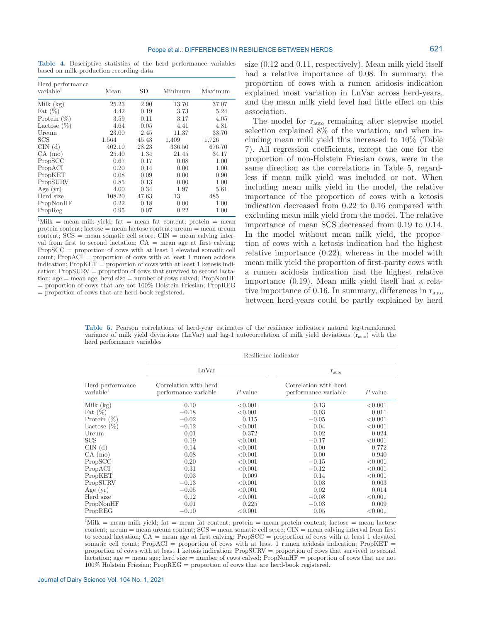**Table 4.** Descriptive statistics of the herd performance variables based on milk production recording data

| Herd performance<br>variable | Mean   | SD    | Minimum | Maximum |
|------------------------------|--------|-------|---------|---------|
| Milk $(kg)$                  | 25.23  | 2.90  | 13.70   | 37.07   |
| Fat $(\%)$                   | 4.42   | 0.19  | 3.73    | 5.24    |
| Protein $(\%)$               | 3.59   | 0.11  | 3.17    | 4.05    |
| Lactose $(\%)$               | 4.64   | 0.05  | 4.41    | 4.81    |
| Ureum                        | 23.00  | 2.45  | 11.37   | 33.70   |
| <b>SCS</b>                   | 1,564  | 45.43 | 1,409   | 1,726   |
| CIN(d)                       | 402.10 | 28.23 | 336.50  | 676.70  |
| CA (mo)                      | 25.40  | 1.34  | 21.45   | 34.17   |
| PropSCC                      | 0.67   | 0.17  | 0.08    | 1.00    |
| PropACI                      | 0.20   | 0.14  | 0.00    | 1.00    |
| PropKET                      | 0.08   | 0.09  | 0.00    | 0.90    |
| PropSURV                     | 0.85   | 0.13  | 0.00    | 1.00    |
| Age $(yr)$                   | 4.00   | 0.34  | 1.97    | 5.61    |
| Herd size                    | 108.20 | 47.63 | 13      | 485     |
| PropNonHF                    | 0.22   | 0.18  | 0.00    | 1.00    |
| PropReg                      | 0.95   | 0.07  | 0.22    | 1.00    |

 ${}^{1}\text{Milk}$  = mean milk yield; fat = mean fat content; protein = mean protein content; lactose = mean lactose content; ureum = mean ureum  $\text{const}; \text{SCS} = \text{mean somatic cell score}; \text{CIN} = \text{mean calving inter-}$ val from first to second lactation;  $CA = \text{mean age at first calving};$ PropSCC = proportion of cows with at least 1 elevated somatic cell count; PropACI = proportion of cows with at least 1 rumen acidosis indication;  $\operatorname{Prop}\nolimits\!\operatorname{KET}\nolimits$  = proportion of cows with at least 1 ketosis indication; PropSURV = proportion of cows that survived to second lactation; age = mean age; herd size = number of cows calved; PropNonHF = proportion of cows that are not 100% Holstein Friesian; PropREG = proportion of cows that are herd-book registered.

size (0.12 and 0.11, respectively). Mean milk yield itself had a relative importance of 0.08. In summary, the proportion of cows with a rumen acidosis indication explained most variation in LnVar across herd-years, and the mean milk yield level had little effect on this association.

The model for  $r_{\text{auto}}$  remaining after stepwise model selection explained 8% of the variation, and when including mean milk yield this increased to 10% (Table 7). All regression coefficients, except the one for the proportion of non-Holstein Friesian cows, were in the same direction as the correlations in Table 5, regardless if mean milk yield was included or not. When including mean milk yield in the model, the relative importance of the proportion of cows with a ketosis indication decreased from 0.22 to 0.16 compared with excluding mean milk yield from the model. The relative importance of mean SCS decreased from 0.19 to 0.14. In the model without mean milk yield, the proportion of cows with a ketosis indication had the highest relative importance (0.22), whereas in the model with mean milk yield the proportion of first-parity cows with a rumen acidosis indication had the highest relative importance (0.19). Mean milk yield itself had a relative importance of 0.16. In summary, differences in  $r_{\text{auto}}$ between herd-years could be partly explained by herd

**Table 5.** Pearson correlations of herd-year estimates of the resilience indicators natural log-transformed variance of milk yield deviations (LnVar) and lag-1 autocorrelation of milk yield deviations (rauto) with the herd performance variables

|                                           | Resilience indicator                          |            |                                                                                                                        |            |  |  |  |
|-------------------------------------------|-----------------------------------------------|------------|------------------------------------------------------------------------------------------------------------------------|------------|--|--|--|
|                                           | LnVar                                         |            | $r_{\text{auto}}$                                                                                                      |            |  |  |  |
| Herd performance<br>variable <sup>1</sup> | Correlation with herd<br>performance variable | $P$ -value | Correlation with herd<br>performance variable                                                                          | $P$ -value |  |  |  |
| Milk (kg)                                 | 0.10                                          | < 0.001    | 0.13                                                                                                                   | < 0.001    |  |  |  |
| Fat $(\%)$                                | $-0.18$                                       | < 0.001    | 0.03                                                                                                                   | 0.011      |  |  |  |
| Protein $(\%)$                            | $-0.02$                                       | 0.115      | $-0.05$                                                                                                                | < 0.001    |  |  |  |
| Lactose $(\%)$                            | $-0.12$                                       | < 0.001    | 0.04                                                                                                                   | < 0.001    |  |  |  |
| Ureum                                     | 0.01                                          | 0.372      | 0.02                                                                                                                   | 0.024      |  |  |  |
| $_{\rm SCS}$                              | 0.19                                          | < 0.001    | $-0.17$                                                                                                                | < 0.001    |  |  |  |
| CIN(d)                                    | 0.14                                          | < 0.001    | 0.00                                                                                                                   | 0.772      |  |  |  |
| CA (mo)                                   | 0.08                                          | < 0.001    | 0.00                                                                                                                   | 0.940      |  |  |  |
| PropSCC                                   | 0.20                                          | < 0.001    | $-0.15$                                                                                                                | < 0.001    |  |  |  |
| PropACI                                   | 0.31                                          | < 0.001    | $-0.12$                                                                                                                | < 0.001    |  |  |  |
| PropKET                                   | 0.03                                          | 0.009      | 0.14                                                                                                                   | < 0.001    |  |  |  |
| PropSURV                                  | $-0.13$                                       | < 0.001    | 0.03                                                                                                                   | 0.003      |  |  |  |
| Age (yr)                                  | $-0.05$                                       | < 0.001    | 0.02                                                                                                                   | 0.014      |  |  |  |
| Herd size                                 | 0.12                                          | < 0.001    | $-0.08$                                                                                                                | < 0.001    |  |  |  |
| PropNonHF                                 | 0.01                                          | 0.225      | $-0.03$                                                                                                                | 0.009      |  |  |  |
| PropREG                                   | $-0.10$                                       | < 0.001    | 0.05                                                                                                                   | < 0.001    |  |  |  |
|                                           |                                               |            | $\frac{1}{2}$ Mille — maan mille vialde fat — maan fat gantante puotain — maan puotain gantante laataga — maan laataga |            |  |  |  |

 ${}^{1}\text{Milk}$  = mean milk yield; fat = mean fat content; protein = mean protein content; lactose = mean lactose content; ureum = mean ureum content; SCS = mean somatic cell score; CIN = mean calving interval from first to second lactation;  $CA =$  mean age at first calving; PropSCC = proportion of cows with at least 1 elevated somatic cell count; PropACI = proportion of cows with at least 1 rumen acidosis indication; PropKET = proportion of cows with at least 1 ketosis indication; PropSURV = proportion of cows that survived to second lactation; age = mean age; herd size = number of cows calved; PropNonHF = proportion of cows that are not 100% Holstein Friesian; PropREG = proportion of cows that are herd-book registered.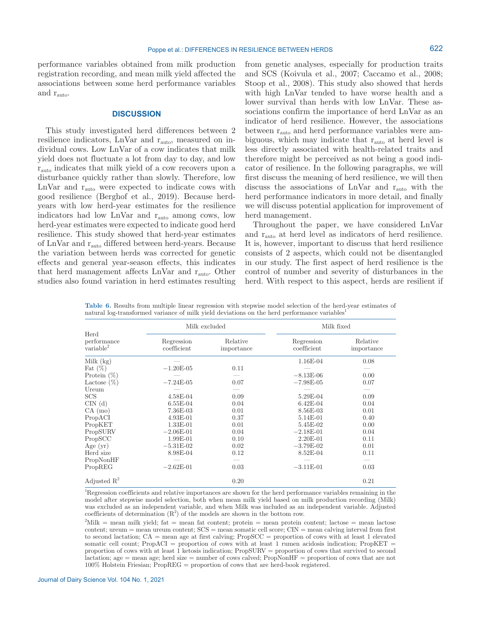performance variables obtained from milk production registration recording, and mean milk yield affected the associations between some herd performance variables and  $r_{\text{auto}}$ .

## **DISCUSSION**

This study investigated herd differences between 2 resilience indicators, LnVar and rauto, measured on individual cows. Low LnVar of a cow indicates that milk yield does not fluctuate a lot from day to day, and low rauto indicates that milk yield of a cow recovers upon a disturbance quickly rather than slowly. Therefore, low LnVar and  $r_{\text{auto}}$  were expected to indicate cows with good resilience (Berghof et al., 2019). Because herdyears with low herd-year estimates for the resilience indicators had low LnVar and rauto among cows, low herd-year estimates were expected to indicate good herd resilience. This study showed that herd-year estimates of LnVar and rauto differed between herd-years. Because the variation between herds was corrected for genetic effects and general year-season effects, this indicates that herd management affects LnVar and rauto. Other studies also found variation in herd estimates resulting from genetic analyses, especially for production traits and SCS (Koivula et al., 2007; Caccamo et al., 2008; Stoop et al., 2008). This study also showed that herds with high LnVar tended to have worse health and a lower survival than herds with low LnVar. These associations confirm the importance of herd LnVar as an indicator of herd resilience. However, the associations between  $r_{\text{auto}}$  and herd performance variables were ambiguous, which may indicate that r<sub>auto</sub> at herd level is less directly associated with health-related traits and therefore might be perceived as not being a good indicator of resilience. In the following paragraphs, we will first discuss the meaning of herd resilience, we will then discuss the associations of  $LNar$  and  $r_{\text{auto}}$  with the herd performance indicators in more detail, and finally we will discuss potential application for improvement of herd management.

Throughout the paper, we have considered LnVar and rauto at herd level as indicators of herd resilience. It is, however, important to discuss that herd resilience consists of 2 aspects, which could not be disentangled in our study. The first aspect of herd resilience is the control of number and severity of disturbances in the herd. With respect to this aspect, herds are resilient if

**Table 6.** Results from multiple linear regression with stepwise model selection of the herd-year estimates of natural log-transformed variance of milk yield deviations on the herd performance variables1

|                                                    | Milk excluded             |                        | Milk fixed                |                        |  |
|----------------------------------------------------|---------------------------|------------------------|---------------------------|------------------------|--|
| $\rm Herd$<br>performance<br>variable <sup>2</sup> | Regression<br>coefficient | Relative<br>importance | Regression<br>coefficient | Relative<br>importance |  |
| Milk (kg)                                          |                           |                        | 1.16E-04                  | 0.08                   |  |
| Fat $(\%)$                                         | $-1.20E-05$               | 0.11                   |                           |                        |  |
| Protein $(\%)$                                     |                           |                        | $-8.13E-06$               | 0.00                   |  |
| Lactose $(\%)$                                     | $-7.24E-05$               | 0.07                   | $-7.98E-05$               | 0.07                   |  |
| Ureum                                              |                           |                        |                           |                        |  |
| $_{\mathrm{SCS}}$                                  | $4.58E-04$                | 0.09                   | 5.29E-04                  | 0.09                   |  |
| CIN(d)                                             | $6.55E-04$                | 0.04                   | $6.42E-04$                | 0.04                   |  |
| CA (mo)                                            | 7.36E-03                  | 0.01                   | $8.56E-03$                | 0.01                   |  |
| PropACI                                            | $4.93E-01$                | 0.37                   | 5.14E-01                  | 0.40                   |  |
| PropKET                                            | $1.33E-01$                | 0.01                   | 5.45E-02                  | 0.00                   |  |
| PropSURV                                           | $-2.06E-01$               | 0.04                   | $-2.18E-01$               | 0.04                   |  |
| PropSCC                                            | $1.99E-01$                | 0.10                   | $2.20E-01$                | 0.11                   |  |
| Age $(yr)$                                         | $-5.31E-02$               | 0.02                   | $-3.79E-02$               | 0.01                   |  |
| Herd size                                          | 8.98E-04                  | 0.12                   | $8.52E-04$                | 0.11                   |  |
| PropNonHF                                          |                           |                        |                           |                        |  |
| PropREG                                            | $-2.62E-01$               | 0.03                   | $-3.11E-01$               | 0.03                   |  |
| Adjusted $R^2$                                     |                           | 0.20                   |                           | 0.21                   |  |

<sup>1</sup>Regression coefficients and relative importances are shown for the herd performance variables remaining in the model after stepwise model selection, both when mean milk yield based on milk production recording (Milk) was excluded as an independent variable, and when Milk was included as an independent variable. Adjusted coefficients of determination  $(R^2)$  of the models are shown in the bottom row.

 $^{2}$ Milk = mean milk yield; fat = mean fat content; protein = mean protein content; lactose = mean lactose content; ureum = mean ureum content; SCS = mean somatic cell score; CIN = mean calving interval from first to second lactation;  $CA =$  mean age at first calving; PropSCC = proportion of cows with at least 1 elevated somatic cell count; PropACI = proportion of cows with at least 1 rumen acidosis indication; PropKET = proportion of cows with at least 1 ketosis indication; PropSURV = proportion of cows that survived to second lactation; age = mean age; herd size = number of cows calved; PropNonHF = proportion of cows that are not 100% Holstein Friesian; PropREG = proportion of cows that are herd-book registered.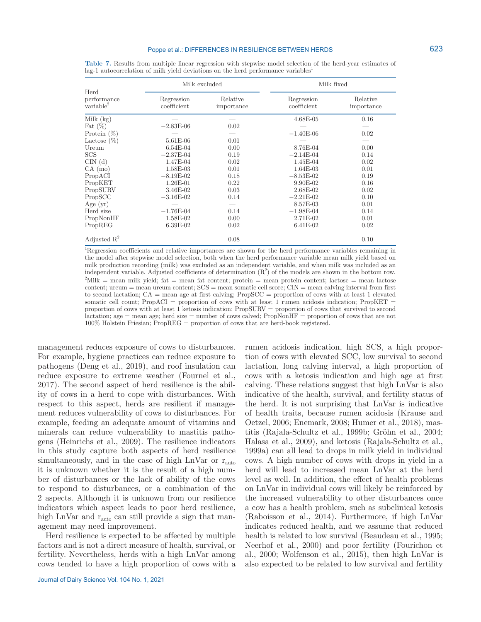#### Poppe et al.: DIFFERENCES IN RESILIENCE BETWEEN HERDS

|                                              | Milk excluded             |                        | Milk fixed                |                        |  |
|----------------------------------------------|---------------------------|------------------------|---------------------------|------------------------|--|
| Herd<br>performance<br>variable <sup>2</sup> | Regression<br>coefficient | Relative<br>importance | Regression<br>coefficient | Relative<br>importance |  |
| Milk $(kg)$                                  |                           |                        | $4.68E-05$                | 0.16                   |  |
| Fat $(\%)$                                   | $-2.83E-06$               | 0.02                   |                           |                        |  |
| Protein $(\%)$                               |                           |                        | $-1.40E-06$               | 0.02                   |  |
| Lactose $(\%)$                               | 5.61E-06                  | 0.01                   |                           |                        |  |
| Ureum                                        | $6.54E-04$                | 0.00                   | 8.76E-04                  | 0.00                   |  |
| SCS                                          | $-2.37E-04$               | 0.19                   | $-2.14E-04$               | 0.14                   |  |
| CIN(d)                                       | 1.47E-04                  | 0.02                   | 1.45E-04                  | 0.02                   |  |
| CA (mo)                                      | 1.58E-03                  | 0.01                   | $1.64E-03$                | 0.01                   |  |
| PropACI                                      | $-8.19E-02$               | 0.18                   | $-8.53E-02$               | 0.19                   |  |
| PropKET                                      | $1.26E-01$                | 0.22                   | $9.90E-02$                | 0.16                   |  |
| PropSURV                                     | 3.46E-02                  | 0.03                   | 2.68E-02                  | 0.02                   |  |
| PropSCC                                      | $-3.16E-02$               | 0.14                   | $-2.21E-02$               | 0.10                   |  |
| Age $(yr)$                                   |                           |                        | 8.57E-03                  | 0.01                   |  |
| Herd size                                    | $-1.76E-04$               | 0.14                   | $-1.98E-04$               | 0.14                   |  |
| PropNonHF                                    | 1.58E-02                  | 0.00                   | 2.71E-02                  | 0.01                   |  |
| PropREG                                      | $6.39E-02$                | 0.02                   | 6.41E-02                  | 0.02                   |  |
| Adjusted $\mathbb{R}^2$                      |                           | 0.08                   |                           | 0.10                   |  |

**Table 7.** Results from multiple linear regression with stepwise model selection of the herd-year estimates of lag-1 autocorrelation of milk yield deviations on the herd performance variables

<sup>1</sup>Regression coefficients and relative importances are shown for the herd performance variables remaining in the model after stepwise model selection, both when the herd performance variable mean milk yield based on milk production recording (milk) was excluded as an independent variable, and when milk was included as an independent variable. Adjusted coefficients of determination  $(R^2)$  of the models are shown in the bottom row.  $^{2}$ Milk = mean milk yield; fat = mean fat content; protein = mean protein content; lactose = mean lactose content; ureum = mean ureum content; SCS = mean somatic cell score; CIN = mean calving interval from first to second lactation; CA = mean age at first calving; PropSCC = proportion of cows with at least 1 elevated somatic cell count; PropACI = proportion of cows with at least 1 rumen acidosis indication; PropKET = proportion of cows with at least 1 ketosis indication; PropSURV = proportion of cows that survived to second lactation; age = mean age; herd size = number of cows calved; PropNonHF = proportion of cows that are not 100% Holstein Friesian; PropREG = proportion of cows that are herd-book registered.

management reduces exposure of cows to disturbances. For example, hygiene practices can reduce exposure to pathogens (Deng et al., 2019), and roof insulation can reduce exposure to extreme weather (Fournel et al., 2017). The second aspect of herd resilience is the ability of cows in a herd to cope with disturbances. With respect to this aspect, herds are resilient if management reduces vulnerability of cows to disturbances. For example, feeding an adequate amount of vitamins and minerals can reduce vulnerability to mastitis pathogens (Heinrichs et al., 2009). The resilience indicators in this study capture both aspects of herd resilience simultaneously, and in the case of high LnVar or  $r_{\text{auto}}$ it is unknown whether it is the result of a high number of disturbances or the lack of ability of the cows to respond to disturbances, or a combination of the 2 aspects. Although it is unknown from our resilience indicators which aspect leads to poor herd resilience, high LnVar and  $r_{\text{auto}}$  can still provide a sign that management may need improvement.

Herd resilience is expected to be affected by multiple factors and is not a direct measure of health, survival, or fertility. Nevertheless, herds with a high LnVar among cows tended to have a high proportion of cows with a rumen acidosis indication, high SCS, a high proportion of cows with elevated SCC, low survival to second lactation, long calving interval, a high proportion of cows with a ketosis indication and high age at first calving. These relations suggest that high LnVar is also indicative of the health, survival, and fertility status of the herd. It is not surprising that LnVar is indicative of health traits, because rumen acidosis (Krause and Oetzel, 2006; Enemark, 2008; Humer et al., 2018), mastitis (Rajala-Schultz et al., 1999b; Gröhn et al., 2004; Halasa et al., 2009), and ketosis (Rajala-Schultz et al., 1999a) can all lead to drops in milk yield in individual cows. A high number of cows with drops in yield in a herd will lead to increased mean LnVar at the herd level as well. In addition, the effect of health problems on LnVar in individual cows will likely be reinforced by the increased vulnerability to other disturbances once a cow has a health problem, such as subclinical ketosis (Raboisson et al., 2014). Furthermore, if high LnVar indicates reduced health, and we assume that reduced health is related to low survival (Beaudeau et al., 1995; Neerhof et al., 2000) and poor fertility (Fourichon et al., 2000; Wolfenson et al., 2015), then high LnVar is also expected to be related to low survival and fertility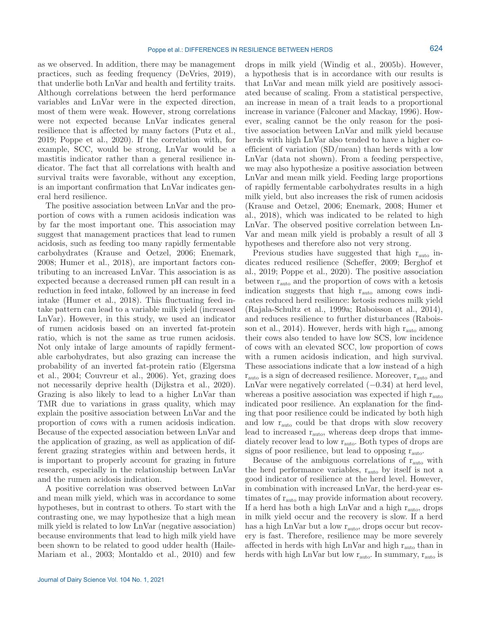as we observed. In addition, there may be management practices, such as feeding frequency (DeVries, 2019), that underlie both LnVar and health and fertility traits. Although correlations between the herd performance variables and LnVar were in the expected direction, most of them were weak. However, strong correlations were not expected because LnVar indicates general resilience that is affected by many factors (Putz et al., 2019; Poppe et al., 2020). If the correlation with, for example, SCC, would be strong, LnVar would be a mastitis indicator rather than a general resilience indicator. The fact that all correlations with health and survival traits were favorable, without any exception, is an important confirmation that LnVar indicates general herd resilience.

The positive association between LnVar and the proportion of cows with a rumen acidosis indication was by far the most important one. This association may suggest that management practices that lead to rumen acidosis, such as feeding too many rapidly fermentable carbohydrates (Krause and Oetzel, 2006; Enemark, 2008; Humer et al., 2018), are important factors contributing to an increased LnVar. This association is as expected because a decreased rumen pH can result in a reduction in feed intake, followed by an increase in feed intake (Humer et al., 2018). This fluctuating feed intake pattern can lead to a variable milk yield (increased LnVar). However, in this study, we used an indicator of rumen acidosis based on an inverted fat-protein ratio, which is not the same as true rumen acidosis. Not only intake of large amounts of rapidly fermentable carbohydrates, but also grazing can increase the probability of an inverted fat-protein ratio (Elgersma et al., 2004; Couvreur et al., 2006). Yet, grazing does not necessarily deprive health (Dijkstra et al., 2020). Grazing is also likely to lead to a higher LnVar than TMR due to variations in grass quality, which may explain the positive association between LnVar and the proportion of cows with a rumen acidosis indication. Because of the expected association between LnVar and the application of grazing, as well as application of different grazing strategies within and between herds, it is important to properly account for grazing in future research, especially in the relationship between LnVar and the rumen acidosis indication.

A positive correlation was observed between LnVar and mean milk yield, which was in accordance to some hypotheses, but in contrast to others. To start with the contrasting one, we may hypothesize that a high mean milk yield is related to low LnVar (negative association) because environments that lead to high milk yield have been shown to be related to good udder health (Haile-Mariam et al., 2003; Montaldo et al., 2010) and few drops in milk yield (Windig et al., 2005b). However, a hypothesis that is in accordance with our results is that LnVar and mean milk yield are positively associated because of scaling. From a statistical perspective, an increase in mean of a trait leads to a proportional increase in variance (Falconer and Mackay, 1996). However, scaling cannot be the only reason for the positive association between LnVar and milk yield because herds with high LnVar also tended to have a higher coefficient of variation (SD/mean) than herds with a low LnVar (data not shown). From a feeding perspective, we may also hypothesize a positive association between LnVar and mean milk yield. Feeding large proportions of rapidly fermentable carbohydrates results in a high milk yield, but also increases the risk of rumen acidosis (Krause and Oetzel, 2006; Enemark, 2008; Humer et al., 2018), which was indicated to be related to high LnVar. The observed positive correlation between Ln-Var and mean milk yield is probably a result of all 3 hypotheses and therefore also not very strong.

Previous studies have suggested that high r<sub>auto</sub> indicates reduced resilience (Scheffer, 2009; Berghof et al., 2019; Poppe et al., 2020). The positive association between  $r_{\text{auto}}$  and the proportion of cows with a ketosis indication suggests that high  $r_{\text{auto}}$  among cows indicates reduced herd resilience: ketosis reduces milk yield (Rajala-Schultz et al., 1999a; Raboisson et al., 2014), and reduces resilience to further disturbances (Raboisson et al., 2014). However, herds with high  $r_{\text{auto}}$  among their cows also tended to have low SCS, low incidence of cows with an elevated SCC, low proportion of cows with a rumen acidosis indication, and high survival. These associations indicate that a low instead of a high  $r_{\text{auto}}$  is a sign of decreased resilience. Moreover,  $r_{\text{auto}}$  and LnVar were negatively correlated  $(-0.34)$  at herd level, whereas a positive association was expected if high  $r_{\text{auto}}$ indicated poor resilience. An explanation for the finding that poor resilience could be indicated by both high and low r<sub>auto</sub> could be that drops with slow recovery lead to increased  $\rm r_{\rm auto},$  whereas deep drops that immediately recover lead to low r<sub>auto</sub>. Both types of drops are signs of poor resilience, but lead to opposing r<sub>auto</sub>.

Because of the ambiguous correlations of  $r_{\text{auto}}$  with the herd performance variables,  $r_{\text{auto}}$  by itself is not a good indicator of resilience at the herd level. However, in combination with increased LnVar, the herd-year estimates of  $r_{\text{auto}}$  may provide information about recovery. If a herd has both a high LnVar and a high  $r_{\text{auto}}$ , drops in milk yield occur and the recovery is slow. If a herd has a high LnVar but a low  $r_{\text{auto}}$ , drops occur but recovery is fast. Therefore, resilience may be more severely affected in herds with high LnVar and high  $r_{\text{auto}}$  than in herds with high LnVar but low  $r_{\text{auto}}$ . In summary,  $r_{\text{auto}}$  is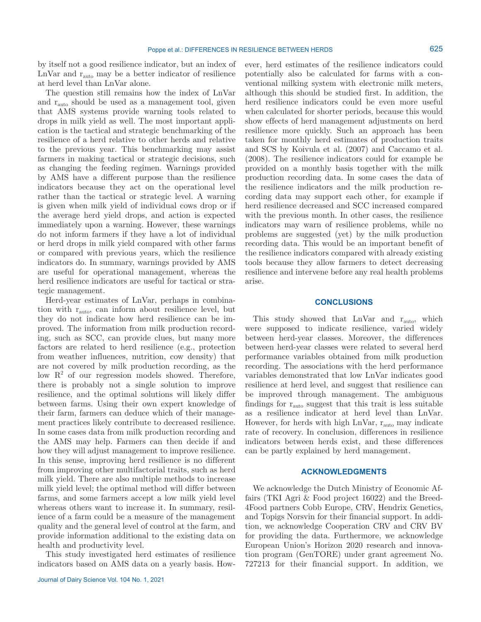by itself not a good resilience indicator, but an index of LnVar and  $r_{\text{auto}}$  may be a better indicator of resilience at herd level than LnVar alone.

The question still remains how the index of LnVar and rauto should be used as a management tool, given that AMS systems provide warning tools related to drops in milk yield as well. The most important application is the tactical and strategic benchmarking of the resilience of a herd relative to other herds and relative to the previous year. This benchmarking may assist farmers in making tactical or strategic decisions, such as changing the feeding regimen. Warnings provided by AMS have a different purpose than the resilience indicators because they act on the operational level rather than the tactical or strategic level. A warning is given when milk yield of individual cows drop or if the average herd yield drops, and action is expected immediately upon a warning. However, these warnings do not inform farmers if they have a lot of individual or herd drops in milk yield compared with other farms or compared with previous years, which the resilience indicators do. In summary, warnings provided by AMS are useful for operational management, whereas the herd resilience indicators are useful for tactical or strategic management.

Herd-year estimates of LnVar, perhaps in combination with rauto, can inform about resilience level, but they do not indicate how herd resilience can be improved. The information from milk production recording, such as SCC, can provide clues, but many more factors are related to herd resilience (e.g., protection from weather influences, nutrition, cow density) that are not covered by milk production recording, as the low  $R^2$  of our regression models showed. Therefore, there is probably not a single solution to improve resilience, and the optimal solutions will likely differ between farms. Using their own expert knowledge of their farm, farmers can deduce which of their management practices likely contribute to decreased resilience. In some cases data from milk production recording and the AMS may help. Farmers can then decide if and how they will adjust management to improve resilience. In this sense, improving herd resilience is no different from improving other multifactorial traits, such as herd milk yield. There are also multiple methods to increase milk yield level; the optimal method will differ between farms, and some farmers accept a low milk yield level whereas others want to increase it. In summary, resilience of a farm could be a measure of the management quality and the general level of control at the farm, and provide information additional to the existing data on health and productivity level.

This study investigated herd estimates of resilience indicators based on AMS data on a yearly basis. However, herd estimates of the resilience indicators could potentially also be calculated for farms with a conventional milking system with electronic milk meters, although this should be studied first. In addition, the herd resilience indicators could be even more useful when calculated for shorter periods, because this would show effects of herd management adjustments on herd resilience more quickly. Such an approach has been taken for monthly herd estimates of production traits and SCS by Koivula et al. (2007) and Caccamo et al. (2008). The resilience indicators could for example be provided on a monthly basis together with the milk production recording data. In some cases the data of the resilience indicators and the milk production recording data may support each other, for example if herd resilience decreased and SCC increased compared with the previous month. In other cases, the resilience indicators may warn of resilience problems, while no problems are suggested (yet) by the milk production recording data. This would be an important benefit of the resilience indicators compared with already existing tools because they allow farmers to detect decreasing resilience and intervene before any real health problems arise.

## **CONCLUSIONS**

This study showed that LnVar and r<sub>auto</sub>, which were supposed to indicate resilience, varied widely between herd-year classes. Moreover, the differences between herd-year classes were related to several herd performance variables obtained from milk production recording. The associations with the herd performance variables demonstrated that low LnVar indicates good resilience at herd level, and suggest that resilience can be improved through management. The ambiguous findings for  $r_{\text{auto}}$  suggest that this trait is less suitable as a resilience indicator at herd level than LnVar. However, for herds with high LnVar,  $r_{\text{auto}}$  may indicate rate of recovery. In conclusion, differences in resilience indicators between herds exist, and these differences can be partly explained by herd management.

## **ACKNOWLEDGMENTS**

We acknowledge the Dutch Ministry of Economic Affairs (TKI Agri & Food project 16022) and the Breed-4Food partners Cobb Europe, CRV, Hendrix Genetics, and Topigs Norsvin for their financial support. In addition, we acknowledge Cooperation CRV and CRV BV for providing the data. Furthermore, we acknowledge European Union's Horizon 2020 research and innovation program (GenTORE) under grant agreement No. 727213 for their financial support. In addition, we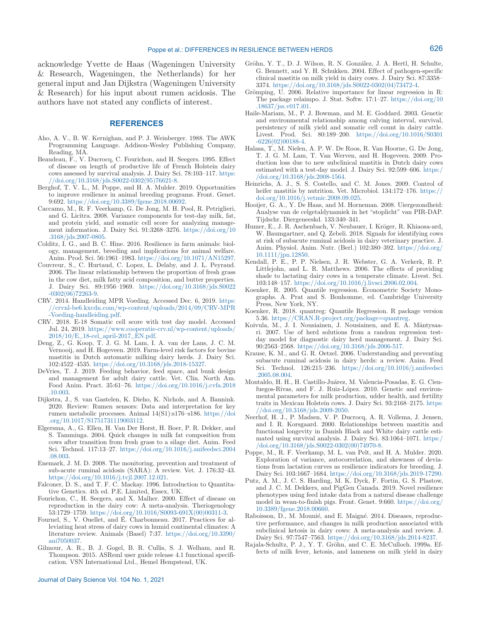acknowledge Yvette de Haas (Wageningen University & Research, Wageningen, the Netherlands) for her general input and Jan Dijkstra (Wageningen University & Research) for his input about rumen acidosis. The authors have not stated any conflicts of interest.

### **REFERENCES**

- Aho, A. V., B. W. Kernighan, and P. J. Weinberger. 1988. The AWK Programming Language. Addison-Wesley Publishing Company, Reading, MA.
- Beaudeau, F., V. Ducrocq, C. Fourichon, and H. Seegers. 1995. Effect of disease on length of productive life of French Holstein dairy cows assessed by survival analysis. J. Dairy Sci. 78:103–117. [https:](https://doi.org/10.3168/jds.S0022-0302(95)76621-8) [//doi.org/10.3168/jds.S0022-0302\(95\)76621-8](https://doi.org/10.3168/jds.S0022-0302(95)76621-8).
- Berghof, T. V. L., M. Poppe, and H. A. Mulder. 2019. Opportunities to improve resilience in animal breeding programs. Front. Genet. 9:692. <https://doi.org/10.3389/fgene.2018.00692>.
- Caccamo, M., R. F. Veerkamp, G. De Jong, M. H. Pool, R. Petriglieri, and G. Licitra. 2008. Variance components for test-day milk, fat, and protein yield, and somatic cell score for analyzing management information. J. Dairy Sci. 91:3268–3276. [https://doi.org/10](https://doi.org/10.3168/jds.2007-0805) [.3168/jds.2007-0805](https://doi.org/10.3168/jds.2007-0805).
- Colditz, I. G., and B. C. Hine. 2016. Resilience in farm animals: biology, management, breeding and implications for animal welfare. Anim. Prod. Sci. 56:1961–1983. [https://doi.org/10.1071/AN15297.](https://doi.org/10.1071/AN15297)
- Couvreur, S., C. Hurtaud, C. Lopez, L. Delaby, and J. L. Peyraud. 2006. The linear relationship between the proportion of fresh grass in the cow diet, milk fatty acid composition, and butter properties. J. Dairy Sci. 89:1956–1969. [https://doi.org/10.3168/jds.S0022](https://doi.org/10.3168/jds.S0022-0302(06)72263-9) [-0302\(06\)72263-9](https://doi.org/10.3168/jds.S0022-0302(06)72263-9).
- CRV. 2014. Handleiding MPR Voeding. Accessed Dec. 6, 2019. [https:](https://crvnl-be6.kxcdn.com/wp-content/uploads/2014/09/CRV-MPR-Voeding-handleiding.pdf) [//crvnl-be6.kxcdn.com/wp-content/uploads/2014/09/CRV-MPR](https://crvnl-be6.kxcdn.com/wp-content/uploads/2014/09/CRV-MPR-Voeding-handleiding.pdf) [-Voeding-handleiding.pdf](https://crvnl-be6.kxcdn.com/wp-content/uploads/2014/09/CRV-MPR-Voeding-handleiding.pdf).
- CRV. 2018. E-18 Somatic cell score with test day model. Accessed Jul. 24, 2019. [https://www.cooperatie-crv.nl/wp-content/uploads/](https://www.cooperatie-crv.nl/wp-content/uploads/2018/10/E_18-cel_april-2017_EN.pdf) [2018/10/E\\_18-cel\\_april-2017\\_EN.pdf.](https://www.cooperatie-crv.nl/wp-content/uploads/2018/10/E_18-cel_april-2017_EN.pdf)
- Deng, Z., G. Koop, T. J. G. M. Lam, I. A. van der Lans, J. C. M. Vernooij, and H. Hogeveen. 2019. Farm-level risk factors for bovine mastitis in Dutch automatic milking dairy herds. J. Dairy Sci. 102:4522–4535. [https://doi.org/10.3168/jds.2018-15327.](https://doi.org/10.3168/jds.2018-15327)
- DeVries, T. J. 2019. Feeding behavior, feed space, and bunk design and management for adult dairy cattle. Vet. Clin. North Am. Food Anim. Pract. 35:61–76. [https://doi.org/10.1016/j.cvfa.2018](https://doi.org/10.1016/j.cvfa.2018.10.003) [.10.003](https://doi.org/10.1016/j.cvfa.2018.10.003).
- Dijkstra, J., S. van Gastelen, K. Dieho, K. Nichols, and A. Bannink. 2020. Review: Rumen sensors: Data and interpretation for key rumen metabolic processes. Animal 14(S1):s176–s186. [https://doi](https://doi.org/10.1017/S1751731119003112) [.org/10.1017/S1751731119003112.](https://doi.org/10.1017/S1751731119003112)
- Elgersma, A., G. Ellen, H. Van Der Horst, H. Boer, P. R. Dekker, and S. Tamminga. 2004. Quick changes in milk fat composition from cows after transition from fresh grass to a silage diet. Anim. Feed Sci. Technol. 117:13–27. [https://doi.org/10.1016/j.anifeedsci.2004](https://doi.org/10.1016/j.anifeedsci.2004.08.003) [.08.003](https://doi.org/10.1016/j.anifeedsci.2004.08.003).
- Enemark, J. M. D. 2008. The monitoring, prevention and treatment of sub-acute ruminal acidosis (SARA): A review. Vet. J. 176:32–43. <https://doi.org/10.1016/j.tvjl.2007.12.021>.
- Falconer, D. S., and T. F. C. Mackay. 1996. Introduction to Quantitative Genetics. 4th ed. P.E. Limited, Essex, UK.
- Fourichon, C., H. Seegers, and X. Malher. 2000. Effect of disease on reproduction in the dairy cow: A meta-analysis. Theriogenology 53:1729–1759. [https://doi.org/10.1016/S0093-691X\(00\)00311-3](https://doi.org/10.1016/S0093-691X(00)00311-3).
- Fournel, S., V. Ouellet, and É. Charbonneau. 2017. Practices for alleviating heat stress of dairy cows in humid continental climates: A literature review. Animals (Basel) 7:37. [https://doi.org/10.3390/](https://doi.org/10.3390/ani7050037) [ani7050037.](https://doi.org/10.3390/ani7050037)
- Gilmour, A. R., B. J. Gogel, B. R. Cullis, S. J. Welham, and R. Thompson. 2015. ASReml user guide release 4.1 functional specification. VSN International Ltd., Hemel Hempstead, UK.
- Journal of Dairy Science Vol. 104 No. 1, 2021
- Gröhn, Y. T., D. J. Wilson, R. N. González, J. A. Hertl, H. Schulte, G. Bennett, and Y. H. Schukken. 2004. Effect of pathogen-specific clinical mastitis on milk yield in dairy cows. J. Dairy Sci. 87:3358– 3374. [https://doi.org/10.3168/jds.S0022-0302\(04\)73472-4.](https://doi.org/10.3168/jds.S0022-0302(04)73472-4)
- Grömping, U. 2006. Relative importance for linear regression in R: The package relaimpo. J. Stat. Softw. 17:1–27. [https://doi.org/10](https://doi.org/10.18637/jss.v017.i01) [.18637/jss.v017.i01.](https://doi.org/10.18637/jss.v017.i01)
- Haile-Mariam, M., P. J. Bowman, and M. E. Goddard. 2003. Genetic and environmental relationship among calving interval, survival, persistency of milk yield and somatic cell count in dairy cattle. Livest. Prod. Sci. 80:189–200. [https://doi.org/10.1016/S0301](https://doi.org/10.1016/S0301-6226(02)00188-4) [-6226\(02\)00188-4](https://doi.org/10.1016/S0301-6226(02)00188-4).
- Halasa, T., M. Nielen, A. P. W. De Roos, R. Van Hoorne, G. De Jong, T. J. G. M. Lam, T. Van Werven, and H. Hogeveen. 2009. Production loss due to new subclinical mastitis in Dutch dairy cows estimated with a test-day model. J. Dairy Sci. 92:599–606. [https:/](https://doi.org/10.3168/jds.2008-1564) [/doi.org/10.3168/jds.2008-1564.](https://doi.org/10.3168/jds.2008-1564)
- Heinrichs, A. J., S. S. Costello, and C. M. Jones. 2009. Control of heifer mastitis by nutrition. Vet. Microbiol. 134:172–176. [https://](https://doi.org/10.1016/j.vetmic.2008.09.025) [doi.org/10.1016/j.vetmic.2008.09.025.](https://doi.org/10.1016/j.vetmic.2008.09.025)
- Hooijer, G. A., Y. De Haas, and M. Horneman. 2008. Uiergezondheid: Analyse van de celgetaldynamiek in het "stoplicht" van PIR-DAP. Tijdschr. Diergeneeskd. 133:340–341.
- Humer, E., J. R. Aschenbach, V. Neubauer, I. Kröger, R. Khiaosa-ard, W. Baumgartner, and Q. Zebeli. 2018. Signals for identifying cows at risk of subacute ruminal acidosis in dairy veterinary practice. J. Anim. Physiol. Anim. Nutr. (Berl.) 102:380–392. [https://doi.org/](https://doi.org/10.1111/jpn.12850) [10.1111/jpn.12850.](https://doi.org/10.1111/jpn.12850)
- Kendall, P. E., P. P. Nielsen, J. R. Webster, G. A. Verkerk, R. P. Littlejohn, and L. R. Matthews. 2006. The effects of providing shade to lactating dairy cows in a temperate climate. Livest. Sci. 103:148–157. [https://doi.org/10.1016/j.livsci.2006.02.004.](https://doi.org/10.1016/j.livsci.2006.02.004)
- Koenker, R. 2005. Quantile regression. Econometric Society Monographs. A. Prat and S. Bonhomme, ed. Cambridge University Press, New York, NY.
- Koenker, R. 2018. quantreg: Quantile Regression. R package version 5.36. [https://CRAN.R-project.org/package=quantreg.](https: / / CRAN .R -project .org/ package = quantreg)
- Koivula, M., J. I. Nousiainen, J. Nousiainen, and E. A. Mäntysaari. 2007. Use of herd solutions from a random regression testday model for diagnostic dairy herd management. J. Dairy Sci. 90:2563–2568. <https://doi.org/10.3168/jds.2006-517>.
- Krause, K. M., and G. R. Oetzel. 2006. Understanding and preventing subacute ruminal acidosis in dairy herds: a review. Anim. Feed Sci. Technol. 126:215–236. [https://doi.org/10.1016/j.anifeedsci](https://doi.org/10.1016/j.anifeedsci.2005.08.004) [.2005.08.004](https://doi.org/10.1016/j.anifeedsci.2005.08.004).
- Montaldo, H. H., H. Castillo-Juárez, M. Valencia-Posadas, E. G. Cienfuegos-Rivas, and F. J. Ruiz-López. 2010. Genetic and environmental parameters for milk production, udder health, and fertility traits in Mexican Holstein cows. J. Dairy Sci. 93:2168–2175. [https:](https://doi.org/10.3168/jds.2009-2050) [//doi.org/10.3168/jds.2009-2050.](https://doi.org/10.3168/jds.2009-2050)
- Neerhof, H. J., P. Madsen, V. P. Ducrocq, A. R. Vollema, J. Jensen, and I. R. Korsgaard. 2000. Relationships between mastitis and functional longevity in Danish Black and White dairy cattle estimated using survival analysis. J. Dairy Sci. 83:1064–1071. [https:/](https://doi.org/10.3168/jds.S0022-0302(00)74970-8) [/doi.org/10.3168/jds.S0022-0302\(00\)74970-8](https://doi.org/10.3168/jds.S0022-0302(00)74970-8).
- Poppe, M., R. F. Veerkamp, M. L. van Pelt, and H. A. Mulder. 2020. Exploration of variance, autocorrelation, and skewness of deviations from lactation curves as resilience indicators for breeding. J. Dairy Sci. 103:1667–1684. [https://doi.org/10.3168/jds.2019-17290.](https://doi.org/10.3168/jds.2019-17290)
- Putz, A. M., J. C. S. Harding, M. K. Dyck, F. Fortin, G. S. Plastow, and J. C. M. Dekkers, and PigGen Canada. 2019. Novel resilience phenotypes using feed intake data from a natural disease challenge model in wean-to-finish pigs. Front. Genet. 9:660. [https://doi.org/](https: / / doi .org/ 10 .3389/ fgene .2018 .00660) [10.3389/fgene.2018.00660](https: / / doi .org/ 10 .3389/ fgene .2018 .00660).
- Raboisson, D., M. Mounié, and E. Maigné. 2014. Diseases, reproductive performance, and changes in milk production associated with subclinical ketosis in dairy cows: A meta-analysis and review. J. Dairy Sci. 97:7547–7563. [https://doi.org/10.3168/jds.2014-8237.](https://doi.org/10.3168/jds.2014-8237)
- Rajala-Schultz, P. J., Y. T. Gröhn, and C. E. McCulloch. 1999a. Effects of milk fever, ketosis, and lameness on milk yield in dairy